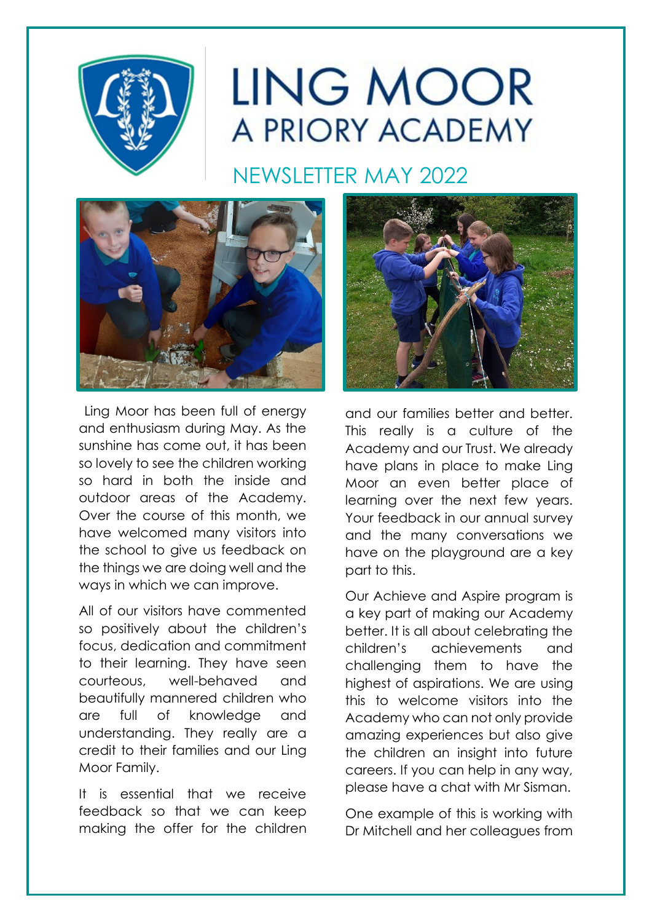

# LING MOOR A PRIORY ACADEMY

NEWSLETTER MAY 2022



Ling Moor has been full of energy and enthusiasm during May. As the sunshine has come out, it has been so lovely to see the children working so hard in both the inside and outdoor areas of the Academy. Over the course of this month, we have welcomed many visitors into the school to give us feedback on the things we are doing well and the ways in which we can improve.

All of our visitors have commented so positively about the children's focus, dedication and commitment to their learning. They have seen courteous, well-behaved and beautifully mannered children who are full of knowledge and understanding. They really are a credit to their families and our Ling Moor Family.

It is essential that we receive feedback so that we can keep making the offer for the children



and our families better and better. This really is a culture of the Academy and our Trust. We already have plans in place to make Ling Moor an even better place of learning over the next few years. Your feedback in our annual survey and the many conversations we have on the playground are a key part to this.

Our Achieve and Aspire program is a key part of making our Academy better. It is all about celebrating the children's achievements and challenging them to have the highest of aspirations. We are using this to welcome visitors into the Academy who can not only provide amazing experiences but also give the children an insight into future careers. If you can help in any way, please have a chat with Mr Sisman.

One example of this is working with Dr Mitchell and her colleagues from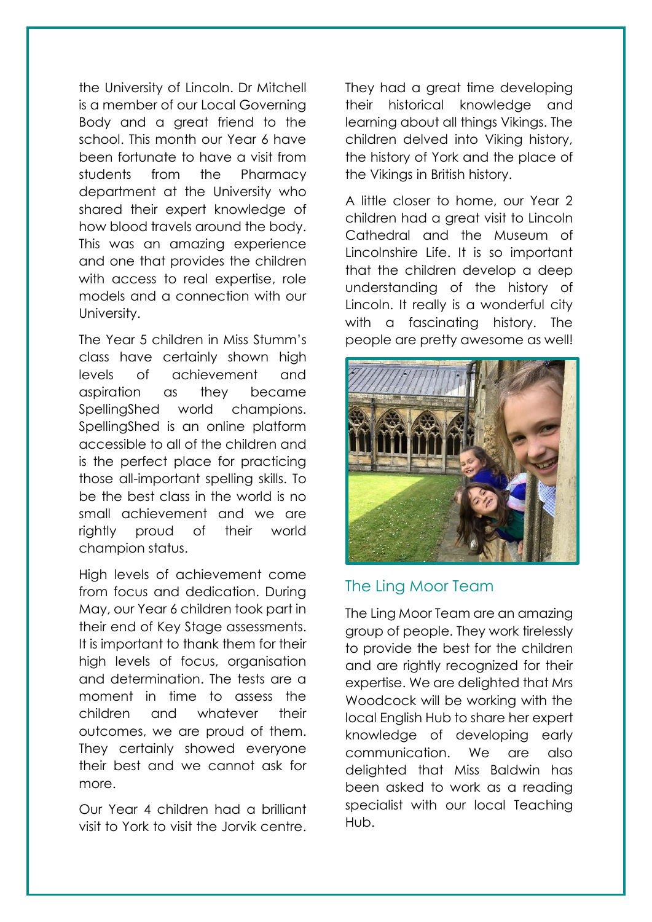the University of Lincoln. Dr Mitchell is a member of our Local Governing Body and a great friend to the school. This month our Year 6 have been fortunate to have a visit from students from the Pharmacy department at the University who shared their expert knowledge of how blood travels around the body. This was an amazing experience and one that provides the children with access to real expertise, role models and a connection with our University.

The Year 5 children in Miss Stumm's class have certainly shown high levels of achievement and aspiration as they became SpellingShed world champions. SpellingShed is an online platform accessible to all of the children and is the perfect place for practicing those all-important spelling skills. To be the best class in the world is no small achievement and we are rightly proud of their world champion status.

High levels of achievement come from focus and dedication. During May, our Year 6 children took part in their end of Key Stage assessments. It is important to thank them for their high levels of focus, organisation and determination. The tests are a moment in time to assess the children and whatever their outcomes, we are proud of them. They certainly showed everyone their best and we cannot ask for more.

Our Year 4 children had a brilliant visit to York to visit the Jorvik centre.

They had a great time developing their historical knowledge and learning about all things Vikings. The children delved into Viking history, the history of York and the place of the Vikings in British history.

A little closer to home, our Year 2 children had a great visit to Lincoln Cathedral and the Museum of Lincolnshire Life. It is so important that the children develop a deep understanding of the history of Lincoln. It really is a wonderful city with a fascinating history. The people are pretty awesome as well!



#### The Ling Moor Team

The Ling Moor Team are an amazing group of people. They work tirelessly to provide the best for the children and are rightly recognized for their expertise. We are delighted that Mrs Woodcock will be working with the local English Hub to share her expert knowledge of developing early communication. We are also delighted that Miss Baldwin has been asked to work as a reading specialist with our local Teaching Hub.